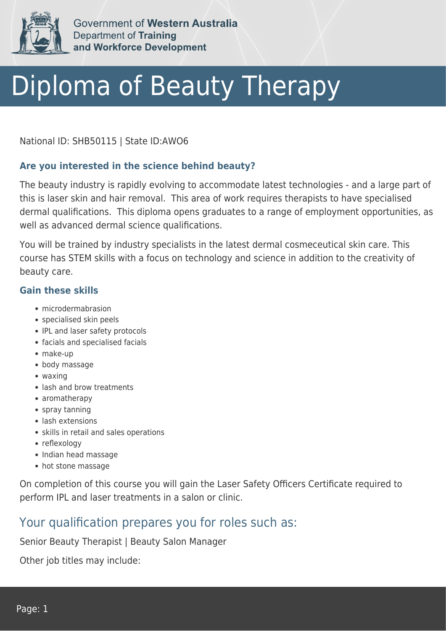

Government of Western Australia **Department of Training** and Workforce Development

# Diploma of Beauty Therapy

National ID: SHB50115 | State ID:AWO6

#### **Are you interested in the science behind beauty?**

The beauty industry is rapidly evolving to accommodate latest technologies - and a large part of this is laser skin and hair removal. This area of work requires therapists to have specialised dermal qualifications. This diploma opens graduates to a range of employment opportunities, as well as advanced dermal science qualifications.

You will be trained by industry specialists in the latest dermal cosmeceutical skin care. This course has STEM skills with a focus on technology and science in addition to the creativity of beauty care.

#### **Gain these skills**

- microdermabrasion
- specialised skin peels
- IPL and laser safety protocols
- facials and specialised facials
- make-up
- body massage
- waxing
- lash and brow treatments
- aromatherapy
- spray tanning
- lash extensions
- skills in retail and sales operations
- reflexology
- Indian head massage
- hot stone massage

On completion of this course you will gain the Laser Safety Officers Certificate required to perform IPL and laser treatments in a salon or clinic.

### Your qualification prepares you for roles such as:

Senior Beauty Therapist | Beauty Salon Manager

Other job titles may include: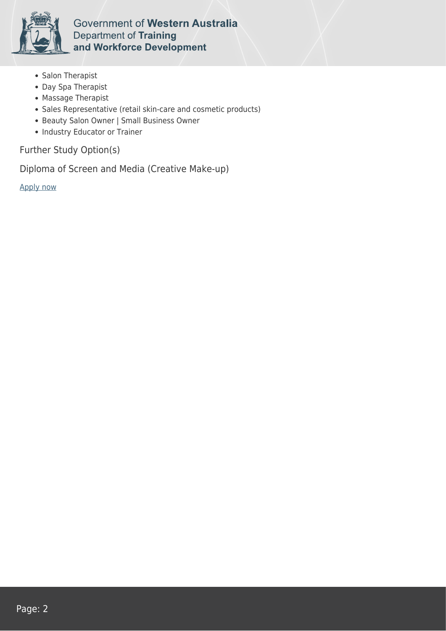

Government of Western Australia Department of Training and Workforce Development

- Salon Therapist
- Day Spa Therapist
- Massage Therapist
- Sales Representative (retail skin-care and cosmetic products)
- Beauty Salon Owner | Small Business Owner
- Industry Educator or Trainer

Further Study Option(s)

Diploma of Screen and Media (Creative Make-up)

[Apply now](https://tasonline.tafe.wa.edu.au/Default.aspx)